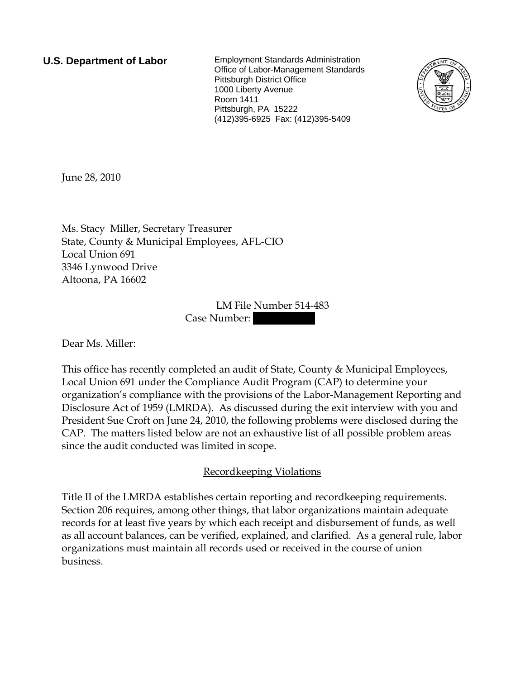**U.S. Department of Labor** Employment Standards Administration Office of Labor-Management Standards Pittsburgh District Office 1000 Liberty Avenue Room 1411 Pittsburgh, PA 15222 (412)395-6925 Fax: (412)395-5409



June 28, 2010

Ms. Stacy Miller, Secretary Treasurer State, County & Municipal Employees, AFL-CIO Local Union 691 3346 Lynwood Drive Altoona, PA 16602

> LM File Number 514-483 Case Number:

Dear Ms. Miller:

This office has recently completed an audit of State, County & Municipal Employees, Local Union 691 under the Compliance Audit Program (CAP) to determine your organization's compliance with the provisions of the Labor-Management Reporting and Disclosure Act of 1959 (LMRDA). As discussed during the exit interview with you and President Sue Croft on June 24, 2010, the following problems were disclosed during the CAP. The matters listed below are not an exhaustive list of all possible problem areas since the audit conducted was limited in scope.

## Recordkeeping Violations

Title II of the LMRDA establishes certain reporting and recordkeeping requirements. Section 206 requires, among other things, that labor organizations maintain adequate records for at least five years by which each receipt and disbursement of funds, as well as all account balances, can be verified, explained, and clarified. As a general rule, labor organizations must maintain all records used or received in the course of union business.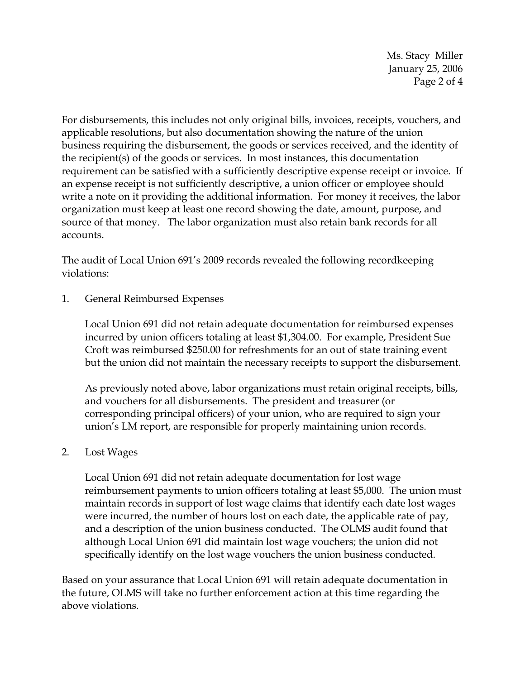Ms. Stacy Miller January 25, 2006 Page 2 of 4

For disbursements, this includes not only original bills, invoices, receipts, vouchers, and applicable resolutions, but also documentation showing the nature of the union business requiring the disbursement, the goods or services received, and the identity of the recipient(s) of the goods or services. In most instances, this documentation requirement can be satisfied with a sufficiently descriptive expense receipt or invoice. If an expense receipt is not sufficiently descriptive, a union officer or employee should write a note on it providing the additional information. For money it receives, the labor organization must keep at least one record showing the date, amount, purpose, and source of that money. The labor organization must also retain bank records for all accounts.

The audit of Local Union 691's 2009 records revealed the following recordkeeping violations:

1. General Reimbursed Expenses

Local Union 691 did not retain adequate documentation for reimbursed expenses incurred by union officers totaling at least \$1,304.00. For example, President Sue Croft was reimbursed \$250.00 for refreshments for an out of state training event but the union did not maintain the necessary receipts to support the disbursement.

As previously noted above, labor organizations must retain original receipts, bills, and vouchers for all disbursements. The president and treasurer (or corresponding principal officers) of your union, who are required to sign your union's LM report, are responsible for properly maintaining union records.

## 2. Lost Wages

Local Union 691 did not retain adequate documentation for lost wage reimbursement payments to union officers totaling at least \$5,000. The union must maintain records in support of lost wage claims that identify each date lost wages were incurred, the number of hours lost on each date, the applicable rate of pay, and a description of the union business conducted. The OLMS audit found that although Local Union 691 did maintain lost wage vouchers; the union did not specifically identify on the lost wage vouchers the union business conducted.

Based on your assurance that Local Union 691 will retain adequate documentation in the future, OLMS will take no further enforcement action at this time regarding the above violations.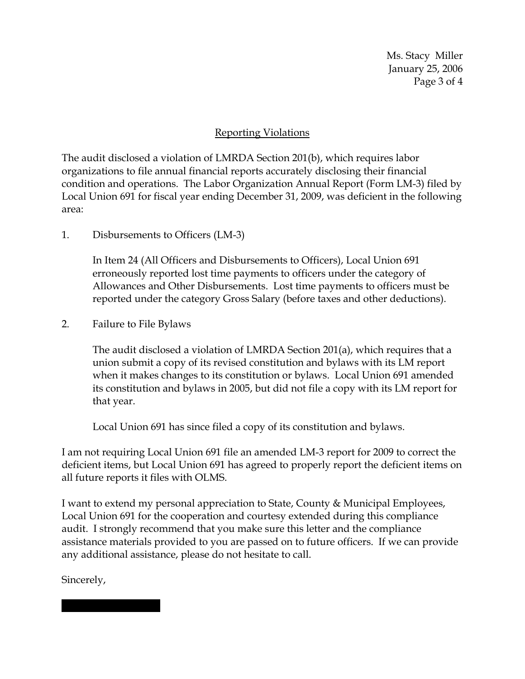Ms. Stacy Miller January 25, 2006 Page 3 of 4

## Reporting Violations

The audit disclosed a violation of LMRDA Section 201(b), which requires labor organizations to file annual financial reports accurately disclosing their financial condition and operations. The Labor Organization Annual Report (Form LM-3) filed by Local Union 691 for fiscal year ending December 31, 2009, was deficient in the following area:

1. Disbursements to Officers (LM-3)

In Item 24 (All Officers and Disbursements to Officers), Local Union 691 erroneously reported lost time payments to officers under the category of Allowances and Other Disbursements. Lost time payments to officers must be reported under the category Gross Salary (before taxes and other deductions).

2. Failure to File Bylaws

The audit disclosed a violation of LMRDA Section 201(a), which requires that a union submit a copy of its revised constitution and bylaws with its LM report when it makes changes to its constitution or bylaws. Local Union 691 amended its constitution and bylaws in 2005, but did not file a copy with its LM report for that year.

Local Union 691 has since filed a copy of its constitution and bylaws.

I am not requiring Local Union 691 file an amended LM-3 report for 2009 to correct the deficient items, but Local Union 691 has agreed to properly report the deficient items on all future reports it files with OLMS.

I want to extend my personal appreciation to State, County & Municipal Employees, Local Union 691 for the cooperation and courtesy extended during this compliance audit. I strongly recommend that you make sure this letter and the compliance assistance materials provided to you are passed on to future officers. If we can provide any additional assistance, please do not hesitate to call.

Sincerely,

|||| |||| |||||||